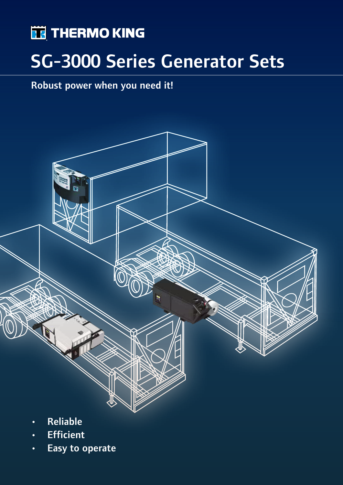# **THERMO KING**

# SG-3000 Series Generator Sets

## Robust power when you need it!



- **Efficient**
- Easy to operate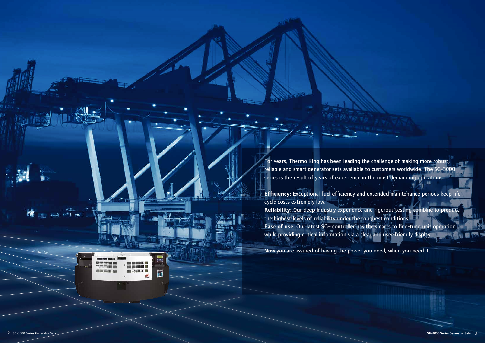For years, Thermo King has been leading the challenge of making more robust, reliable and smart generator sets available to customers worldwide. The SG-3000 series is the result of years of experience in the most demanding operations.

**Efficiency:** Exceptional fuel efficiency and extended maintenance periods keep lifecycle costs extremely low. **Reliability:** Our deep industry experience and rigorous testing combine to produce the highest levels of reliability under the toughest conditions. **Ease of use:** Our latest SG+ controller has the smarts to fine-tune unit operation while providing critical information via a clear and user-friendly display.

Now you are assured of having the power you need, when you need it.

●者。 self mel

65 DEN 100 DEN 105

**CIE CIE** 

 $\langle \hat{B} \rangle$ 

E

TO THE UNIT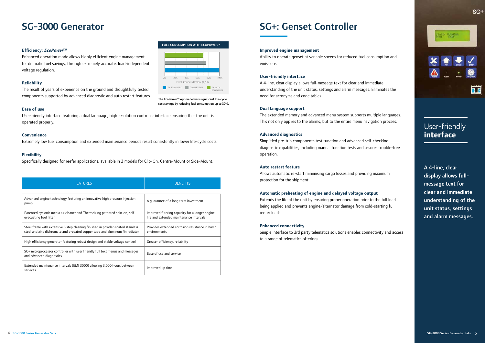# SG-3000 Generator SG+: Genset Controller

#### **Efficiency: EcoPowerTM**

Enhanced operation mode allows highly efficient engine management for dramatic fuel savings, through extremely accurate, load-independent voltage regulation.

#### **Reliability**

The result of years of experience on the ground and thoughtfully tested components supported by advanced diagnostic and auto restart features.

# TK STANDARD **THE STANDARD COMPETITOR** TK WITH FUEL CONSUMPTION (L/H) 0% 20% 40% 60% 80%

#### **Ease of use**

User-friendly interface featuring a dual language, high resolution controller interface ensuring that the unit is operated properly.

#### **Convenience**

Extremely low fuel consumption and extended maintenance periods result consistently in lower life-cycle costs.

#### **Flexibility**

Specifically designed for reefer applications, available in 3 models for Clip-On, Centre-Mount or Side-Mount.

| <b>FEATURES</b>                                                                                                                                                | <b>BENEFITS</b>                                                                            |
|----------------------------------------------------------------------------------------------------------------------------------------------------------------|--------------------------------------------------------------------------------------------|
|                                                                                                                                                                |                                                                                            |
| Advanced engine technology featuring an innovative high pressure injection<br>pump                                                                             | A quarantee of a long term investment                                                      |
| Patented cyclonic media air cleaner and ThermoKing patented spin-on, self-<br>evacuating fuel filter                                                           | Improved filtering capacity for a longer engine<br>life and extended maintenance intervals |
| Steel frame with extensive 6 step cleaning finished in powder-coated stainless<br>steel and zinc dichromate and e-coated copper tube and aluminum fin radiator | Provides extended corrosion resistance in harsh<br>environments                            |
| High efficiency generator featuring robust design and stable voltage control                                                                                   | Greater efficiency, reliability                                                            |
| SG+ microprocessor controller with user friendly full text menus and messages<br>and advanced diagnostics                                                      | Ease of use and service                                                                    |
| Extended maintenance intervals (EMI 3000) allowing 3,000 hours between<br>services                                                                             | Improved up time                                                                           |

A 4-line, clear display allows fullmessage text for clear and immediate understanding of the unit status, settings and alarm messages.

#### **Improved engine management**

Ability to operate genset at variable speeds for reduced fuel consumption and emissions.

#### **User-friendly interface**

A 4-line, clear display allows full-message text for clear and immediate understanding of the unit status, settings and alarm messages. Eliminates the need for acronyms and code tables.

#### **Dual language support**

The extended memory and advanced menu system supports multiple languages. This not only applies to the alarms, but to the entire menu navigation process.

#### **Advanced diagnostics**

Simplified pre-trip components test function and advanced self-checking diagnostic capabilities, including manual function tests and assures trouble-free operation.

#### **Auto restart feature**

Allows automatic re-start minimising cargo losses and providing maximum protection for the shipment.

#### **Automatic preheating of engine and delayed voltage output**

Extends the life of the unit by ensuring proper operation prior to the full load being applied and prevents engine/alternator damage from cold-starting full reefer loads.

### **Enhanced connectivity**

Simple interface to 3rd party telematics solutions enables connectivity and access to a range of telematics offerings.



 $SG+$ 

## User-friendly **interface**

FUEL CONSUMPTION WITH ECOPOWER™

The EcoPower™ option delivers significant life-cycle cost savings by reducing fuel consumption up to 30%.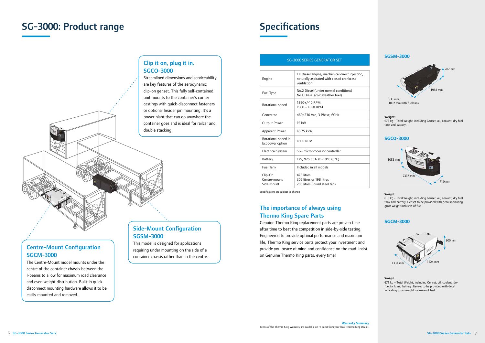### The importance of always using Thermo King Spare Parts

Genuine Thermo King replacement parts are proven time after time to beat the competition in side-by-side testing. Engineered to provide optimal performance and maximum life, Thermo King service parts protect your investment and provide you peace of mind and confidence on the road. Insist on Genuine Thermo King parts, every time!



**SGCO-3000**



### **SGCM-3000**



# SG-3000: Product range

# **Specifications**

### Clip it on, plug it in. SGCO-3000

Streamlined dimensions and serviceability are key features of the aerodynamic clip-on genset. This fully self-contained unit mounts to the container's corner castings with quick-disconnect fasteners or optional header pin mounting. It's a power plant that can go anywhere the container goes and is ideal for railcar and double stacking.

### Side-Mount Configuration SGSM-3000

This model is designed for applications requiring under mounting on the side of a container chassis rather than in the centre.

## Centre-Mount Configuration SGCM-3000

The Centre-Mount model mounts under the centre of the container chassis between the I-beams to allow for maximum road clearance and even weight distribution. Built-in quick disconnect mounting hardware allows it to be easily mounted and removed.

### SG-3000 SERIES GENERATOR SET

| Engine                                 | TK Diesel engine, mechanical direct injection,<br>naturally aspirated with closed crankcase<br>ventilation |
|----------------------------------------|------------------------------------------------------------------------------------------------------------|
| Fuel Type                              | No.2 Diesel (under normal conditions)<br>No.1 Diesel (cold weather fuel)                                   |
| Rotational speed                       | 1890+/-10 RPM<br>$1560 + 10 - 0$ RPM                                                                       |
| Generator                              | 460/230 Vac, 3 Phase, 60Hz                                                                                 |
| <b>Output Power</b>                    | 15 kW                                                                                                      |
| <b>Apparent Power</b>                  | 18.75 kVA                                                                                                  |
| Rotational speed in<br>Ecopower option | 1800 RPM                                                                                                   |
| <b>Electrical System</b>               | SG+ microprocessor controller                                                                              |
| Battery                                | 12V, 925 CCA at -18°C (0°F)                                                                                |
| <b>Fuel Tank</b>                       | Included in all models                                                                                     |
| Clip-On<br>Centre-mount<br>Side-mount  | 473 litres<br>302 litres or 198 litres<br>283 litres Round steel tank                                      |

#### **Weight:**

678 kg - Total Weight, including Genset, oil, coolant, dry fuel tank and battery.

#### **Weight:**

818 kg - Total Weight, including Genset, oil, coolant, dry fuel tank and battery. Genset to be provided with decal indicating gross weight inclusive of fuel.

#### **Weight:**

671 kg – Total Weight, including Genset, oil, coolant, dry fuel tank and battery. Genset to be provided with decal indicating gross weight inclusive of fuel.

Specifications are subject to change